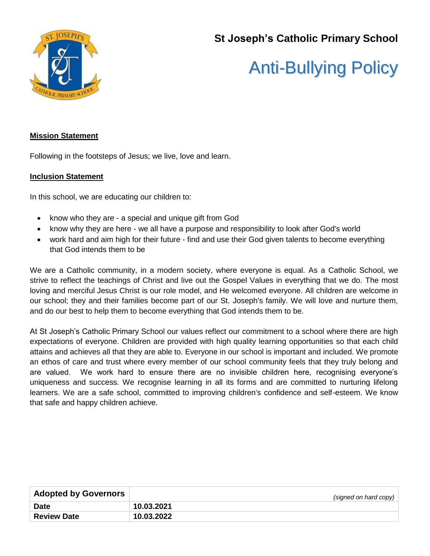

# **St Joseph's Catholic Primary School**

# Anti-Bullying Policy

# **Mission Statement**

Following in the footsteps of Jesus; we live, love and learn.

# **Inclusion Statement**

In this school, we are educating our children to:

- know who they are a special and unique gift from God
- know why they are here we all have a purpose and responsibility to look after God's world
- work hard and aim high for their future find and use their God given talents to become everything that God intends them to be

We are a Catholic community, in a modern society, where everyone is equal. As a Catholic School, we strive to reflect the teachings of Christ and live out the Gospel Values in everything that we do. The most loving and merciful Jesus Christ is our role model, and He welcomed everyone. All children are welcome in our school; they and their families become part of our St. Joseph's family. We will love and nurture them, and do our best to help them to become everything that God intends them to be.

At St Joseph's Catholic Primary School our values reflect our commitment to a school where there are high expectations of everyone. Children are provided with high quality learning opportunities so that each child attains and achieves all that they are able to. Everyone in our school is important and included. We promote an ethos of care and trust where every member of our school community feels that they truly belong and are valued. We work hard to ensure there are no invisible children here, recognising everyone's uniqueness and success. We recognise learning in all its forms and are committed to nurturing lifelong learners. We are a safe school, committed to improving children's confidence and self-esteem. We know that safe and happy children achieve.

| <b>Adopted by Governors</b> | (signed on hard copy) |
|-----------------------------|-----------------------|
| <b>Date</b>                 | 10.03.2021            |
| <b>Review Date</b>          | 10.03.2022            |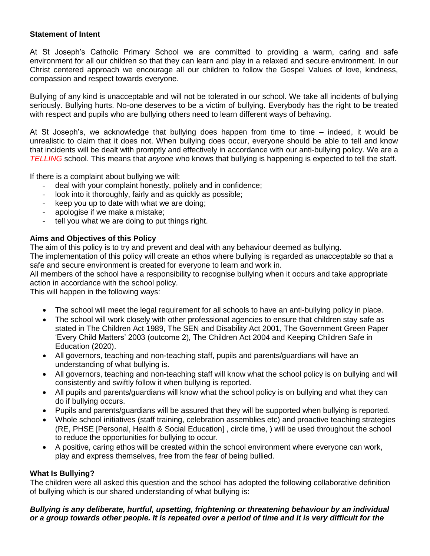# **Statement of Intent**

At St Joseph's Catholic Primary School we are committed to providing a warm, caring and safe environment for all our children so that they can learn and play in a relaxed and secure environment. In our Christ centered approach we encourage all our children to follow the Gospel Values of love, kindness, compassion and respect towards everyone.

Bullying of any kind is unacceptable and will not be tolerated in our school. We take all incidents of bullying seriously. Bullying hurts. No-one deserves to be a victim of bullying. Everybody has the right to be treated with respect and pupils who are bullying others need to learn different ways of behaving.

At St Joseph's, we acknowledge that bullying does happen from time to time – indeed, it would be unrealistic to claim that it does not. When bullying does occur, everyone should be able to tell and know that incidents will be dealt with promptly and effectively in accordance with our anti-bullying policy. We are a *TELLING* school. This means that *anyone* who knows that bullying is happening is expected to tell the staff.

If there is a complaint about bullying we will:

- deal with your complaint honestly, politely and in confidence;
- look into it thoroughly, fairly and as quickly as possible;
- keep you up to date with what we are doing;
- apologise if we make a mistake;
- tell you what we are doing to put things right.

# **Aims and Objectives of this Policy**

The aim of this policy is to try and prevent and deal with any behaviour deemed as bullying.

The implementation of this policy will create an ethos where bullying is regarded as unacceptable so that a safe and secure environment is created for everyone to learn and work in.

All members of the school have a responsibility to recognise bullying when it occurs and take appropriate action in accordance with the school policy.

This will happen in the following ways:

- The school will meet the legal requirement for all schools to have an anti-bullying policy in place.
- The school will work closely with other professional agencies to ensure that children stay safe as stated in The Children Act 1989, The SEN and Disability Act 2001, The Government Green Paper 'Every Child Matters' 2003 (outcome 2), The Children Act 2004 and Keeping Children Safe in Education (2020).
- All governors, teaching and non-teaching staff, pupils and parents/guardians will have an understanding of what bullying is.
- All governors, teaching and non-teaching staff will know what the school policy is on bullying and will consistently and swiftly follow it when bullying is reported.
- All pupils and parents/guardians will know what the school policy is on bullying and what they can do if bullying occurs.
- Pupils and parents/guardians will be assured that they will be supported when bullying is reported.
- Whole school initiatives (staff training, celebration assemblies etc) and proactive teaching strategies (RE, PHSE [Personal, Health & Social Education] , circle time, ) will be used throughout the school to reduce the opportunities for bullying to occur.
- A positive, caring ethos will be created within the school environment where everyone can work, play and express themselves, free from the fear of being bullied.

# **What Is Bullying?**

The children were all asked this question and the school has adopted the following collaborative definition of bullying which is our shared understanding of what bullying is:

# *Bullying is any deliberate, hurtful, upsetting, frightening or threatening behaviour by an individual or a group towards other people. It is repeated over a period of time and it is very difficult for the*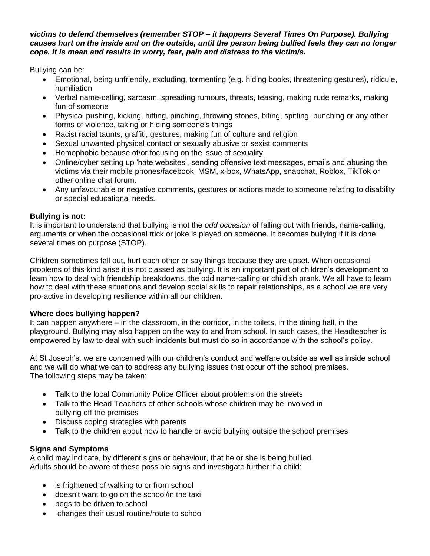#### *victims to defend themselves (remember STOP – it happens Several Times On Purpose). Bullying causes hurt on the inside and on the outside, until the person being bullied feels they can no longer cope. It is mean and results in worry, fear, pain and distress to the victim/s.*

Bullying can be:

- Emotional, being unfriendly, excluding, tormenting (e.g. hiding books, threatening gestures), ridicule, humiliation
- Verbal name-calling, sarcasm, spreading rumours, threats, teasing, making rude remarks, making fun of someone
- Physical pushing, kicking, hitting, pinching, throwing stones, biting, spitting, punching or any other forms of violence, taking or hiding someone's things
- Racist racial taunts, graffiti, gestures, making fun of culture and religion
- Sexual unwanted physical contact or sexually abusive or sexist comments
- Homophobic because of/or focusing on the issue of sexuality
- Online/cyber setting up 'hate websites', sending offensive text messages, emails and abusing the victims via their mobile phones/facebook, MSM, x-box, WhatsApp, snapchat, Roblox, TikTok or other online chat forum.
- Any unfavourable or negative comments, gestures or actions made to someone relating to disability or special educational needs.

# **Bullying is not:**

It is important to understand that bullying is not the *odd occasion* of falling out with friends, name-calling, arguments or when the occasional trick or joke is played on someone. It becomes bullying if it is done several times on purpose (STOP).

Children sometimes fall out, hurt each other or say things because they are upset. When occasional problems of this kind arise it is not classed as bullying. It is an important part of children's development to learn how to deal with friendship breakdowns, the odd name-calling or childish prank. We all have to learn how to deal with these situations and develop social skills to repair relationships, as a school we are very pro-active in developing resilience within all our children.

# **Where does bullying happen?**

It can happen anywhere – in the classroom, in the corridor, in the toilets, in the dining hall, in the playground. Bullying may also happen on the way to and from school. In such cases, the Headteacher is empowered by law to deal with such incidents but must do so in accordance with the school's policy.

At St Joseph's, we are concerned with our children's conduct and welfare outside as well as inside school and we will do what we can to address any bullying issues that occur off the school premises. The following steps may be taken:

- Talk to the local Community Police Officer about problems on the streets
- Talk to the Head Teachers of other schools whose children may be involved in bullying off the premises
- Discuss coping strategies with parents
- Talk to the children about how to handle or avoid bullying outside the school premises

# **Signs and Symptoms**

A child may indicate, by different signs or behaviour, that he or she is being bullied. Adults should be aware of these possible signs and investigate further if a child:

- is frightened of walking to or from school
- doesn't want to go on the school/in the taxi
- begs to be driven to school
- changes their usual routine/route to school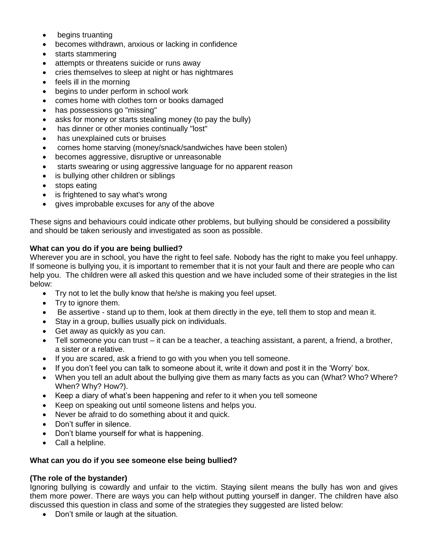- begins truanting
- becomes withdrawn, anxious or lacking in confidence
- starts stammering
- attempts or threatens suicide or runs away
- cries themselves to sleep at night or has nightmares
- feels ill in the morning
- begins to under perform in school work
- comes home with clothes torn or books damaged
- has possessions go "missing"
- asks for money or starts stealing money (to pay the bully)
- has dinner or other monies continually "lost"
- has unexplained cuts or bruises
- comes home starving (money/snack/sandwiches have been stolen)
- becomes aggressive, disruptive or unreasonable
- starts swearing or using aggressive language for no apparent reason
- is bullying other children or siblings
- stops eating
- is frightened to say what's wrong
- gives improbable excuses for any of the above

These signs and behaviours could indicate other problems, but bullying should be considered a possibility and should be taken seriously and investigated as soon as possible.

# **What can you do if you are being bullied?**

Wherever you are in school, you have the right to feel safe. Nobody has the right to make you feel unhappy. If someone is bullying you, it is important to remember that it is not your fault and there are people who can help you. The children were all asked this question and we have included some of their strategies in the list below:

- Try not to let the bully know that he/she is making you feel upset.
- Try to ignore them.
- Be assertive stand up to them, look at them directly in the eye, tell them to stop and mean it.
- Stay in a group, bullies usually pick on individuals.
- Get away as quickly as you can.
- $\bullet$  Tell someone you can trust it can be a teacher, a teaching assistant, a parent, a friend, a brother, a sister or a relative.
- If you are scared, ask a friend to go with you when you tell someone.
- If you don't feel you can talk to someone about it, write it down and post it in the 'Worry' box.
- When you tell an adult about the bullying give them as many facts as you can (What? Who? Where? When? Why? How?).
- Keep a diary of what's been happening and refer to it when you tell someone
- Keep on speaking out until someone listens and helps you.
- Never be afraid to do something about it and quick.
- Don't suffer in silence.
- Don't blame yourself for what is happening.
- Call a helpline.

# **What can you do if you see someone else being bullied?**

# **(The role of the bystander)**

Ignoring bullying is cowardly and unfair to the victim. Staying silent means the bully has won and gives them more power. There are ways you can help without putting yourself in danger. The children have also discussed this question in class and some of the strategies they suggested are listed below:

• Don't smile or laugh at the situation.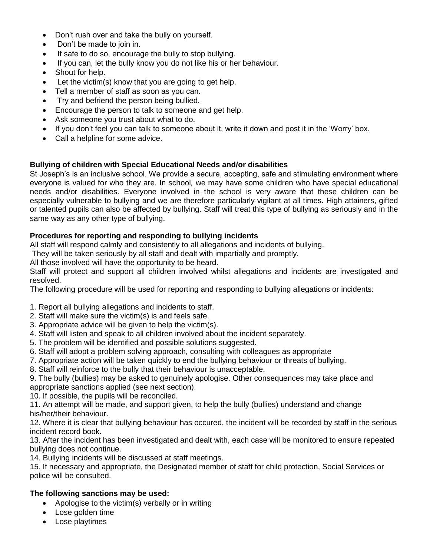- Don't rush over and take the bully on yourself.
- Don't be made to join in.
- If safe to do so, encourage the bully to stop bullying.
- If you can, let the bully know you do not like his or her behaviour.
- Shout for help.
- Let the victim(s) know that you are going to get help.
- Tell a member of staff as soon as you can.
- Try and befriend the person being bullied.
- Encourage the person to talk to someone and get help.
- Ask someone you trust about what to do.
- If you don't feel you can talk to someone about it, write it down and post it in the 'Worry' box.
- Call a helpline for some advice.

# **Bullying of children with Special Educational Needs and/or disabilities**

St Joseph's is an inclusive school. We provide a secure, accepting, safe and stimulating environment where everyone is valued for who they are. In school*,* we may have some children who have special educational needs and/or disabilities. Everyone involved in the school is very aware that these children can be especially vulnerable to bullying and we are therefore particularly vigilant at all times. High attainers, gifted or talented pupils can also be affected by bullying. Staff will treat this type of bullying as seriously and in the same way as any other type of bullying.

# **Procedures for reporting and responding to bullying incidents**

All staff will respond calmly and consistently to all allegations and incidents of bullying.

They will be taken seriously by all staff and dealt with impartially and promptly.

All those involved will have the opportunity to be heard.

Staff will protect and support all children involved whilst allegations and incidents are investigated and resolved.

The following procedure will be used for reporting and responding to bullying allegations or incidents:

- 1. Report all bullying allegations and incidents to staff.
- 2. Staff will make sure the victim(s) is and feels safe.
- 3. Appropriate advice will be given to help the victim(s).
- 4. Staff will listen and speak to all children involved about the incident separately.
- 5. The problem will be identified and possible solutions suggested.
- 6. Staff will adopt a problem solving approach, consulting with colleagues as appropriate
- 7. Appropriate action will be taken quickly to end the bullying behaviour or threats of bullying.
- 8. Staff will reinforce to the bully that their behaviour is unacceptable.

9. The bully (bullies) may be asked to genuinely apologise. Other consequences may take place and appropriate sanctions applied (see next section).

10. If possible, the pupils will be reconciled.

11. An attempt will be made, and support given, to help the bully (bullies) understand and change his/her/their behaviour.

12. Where it is clear that bullying behaviour has occured, the incident will be recorded by staff in the serious incident record book.

13. After the incident has been investigated and dealt with, each case will be monitored to ensure repeated bullying does not continue.

14. Bullying incidents will be discussed at staff meetings.

15. If necessary and appropriate, the Designated member of staff for child protection, Social Services or police will be consulted.

# **The following sanctions may be used:**

- Apologise to the victim(s) verbally or in writing
- Lose golden time
- Lose playtimes